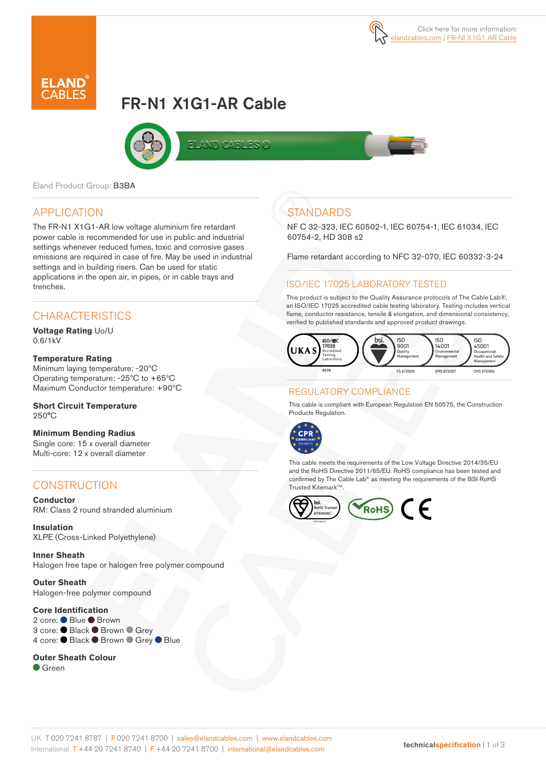

# FR-N1 X1G1-AR Cable



Eland Product Group: B3BA

## APPLICATION

The FR-N1 X1G1-AR low voltage aluminium fire retardant power cable is recommended for use in public and industrial settings whenever reduced fumes, toxic and corrosive gases emissions are required in case of fire. May be used in industrial settings and in building risers. Can be used for static applications in the open air, in pipes, or in cable trays and trenches.

## **CHARACTERISTICS**

**Voltage Rating** Uo/U 0.6/1kV

#### **Temperature Rating**

Minimum laying temperature: -20ºC Operating temperature: -25ºC to +65ºC Maximum Conductor temperature: +90ºC

#### **Short Circuit Temperature**  250°C

**Minimum Bending Radius**  Single core: 15 x overall diameter Multi-core: 12 x overall diameter

## **CONSTRUCTION**

**Conductor** RM: Class 2 round stranded aluminium

**Insulation** XLPE (Cross-Linked Polyethylene)

**Inner Sheath** Halogen free tape or halogen free polymer compound

**Outer Sheath**  Halogen-free polymer compound

## **Core Identification**

2 core: ● Blue ● Brown 3 core: ● Black ● Brown ● Grey 4 core: ● Black ● Brown ● Grey ● Blue

#### **Outer Sheath Colour**

Green

# **STANDARDS**

NF C 32-323, IEC 60502-1, IEC 60754-1, IEC 61034, IEC 60754-2, HD 308 s2

Flame retardant according to NFC 32-070, IEC 60332-3-24

#### ISO/IEC 17025 LABORATORY TESTED

This product is subject to the Quality Assurance protocols of The Cable Lab®, an ISO/IEC 17025 accredited cable testing laboratory. Testing includes vertical flame, conductor resistance, tensile & elongation, and dimensional consistency, verified to published standards and approved product drawings.



## REGULATORY COMPLIANCE

This cable is compliant with European Regulation EN 50575, the Construction Products Regulation.



This cable meets the requirements of the Low Voltage Directive 2014/35/EU and the RoHS Directive 2011/65/EU. RoHS compliance has been tested and confirmed by The Cable Lab® as meeting the requirements of the BSI RoHS Trusted Kitemark<sup>™</sup>.

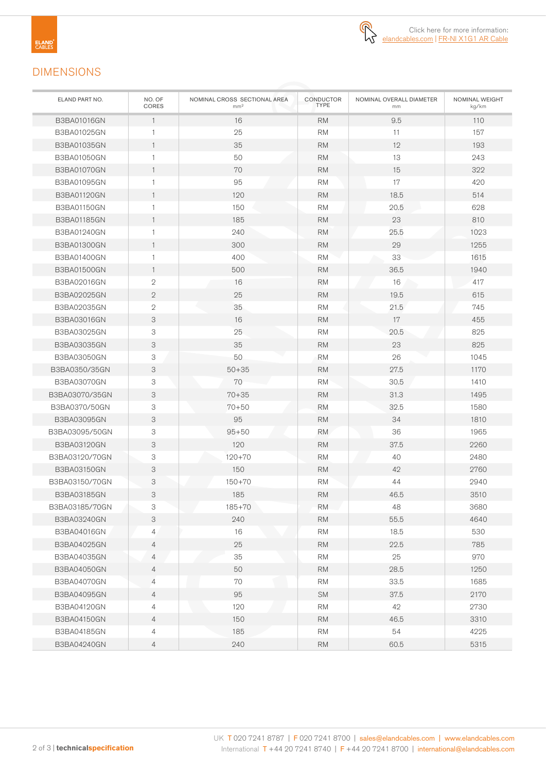

## DIMENSIONS

| ELAND PART NO.     | NO. OF<br>CORES | NOMINAL CROSS SECTIONAL AREA<br>mm <sup>2</sup> | CONDUCTOR<br><b>TYPE</b> | NOMINAL OVERALL DIAMETER<br>mm |      |
|--------------------|-----------------|-------------------------------------------------|--------------------------|--------------------------------|------|
| <b>B3BA01016GN</b> | $\mathbf{1}$    | 16                                              | 9.5<br><b>RM</b>         |                                | 110  |
| B3BA01025GN        | 1               | 25                                              | <b>RM</b>                | 11                             | 157  |
| <b>B3BA01035GN</b> | $\mathbf{1}$    | 35                                              | <b>RM</b>                | 12                             | 193  |
| B3BA01050GN        | $\mathbf{1}$    | 50                                              | <b>RM</b>                | 13                             | 243  |
| <b>B3BA01070GN</b> | $\mathbf{1}$    | 70                                              | <b>RM</b>                | 15                             | 322  |
| B3BA01095GN        | $\mathbf{1}$    | 95                                              | <b>RM</b>                | 17                             | 420  |
| <b>B3BA01120GN</b> | $\mathbf{1}$    | 120                                             | <b>RM</b>                | 18.5                           | 514  |
| <b>B3BA01150GN</b> | $\mathbf{1}$    | 150                                             | <b>RM</b>                | 20.5                           | 628  |
| <b>B3BA01185GN</b> | $\mathbf{1}$    | 185                                             | <b>RM</b>                | 23                             | 810  |
| B3BA01240GN        | $\mathbf{1}$    | 240                                             | <b>RM</b>                | 25.5                           | 1023 |
| <b>B3BA01300GN</b> | $\mathbf{1}$    | 300                                             | <b>RM</b>                | 29                             | 1255 |
| <b>B3BA01400GN</b> | 1               | 400                                             | <b>RM</b>                | 33                             | 1615 |
| <b>B3BA01500GN</b> | $\mathbf{1}$    | 500                                             | <b>RM</b>                | 36.5                           | 1940 |
| B3BA02016GN        | $\mathbf{2}$    | 16                                              | <b>RM</b>                | 16                             | 417  |
| B3BA02025GN        | $\mathbf{2}$    | 25                                              | <b>RM</b>                | 19.5                           | 615  |
| B3BA02035GN        | $\sqrt{2}$      | 35                                              | <b>RM</b>                | 21.5                           | 745  |
| <b>B3BA03016GN</b> | 3               | 16                                              | <b>RM</b>                | 17                             | 455  |
| B3BA03025GN        | 3               | 25                                              | <b>RM</b>                | 20.5                           | 825  |
| B3BA03035GN        | 3               | 35                                              | <b>RM</b>                | 23                             | 825  |
| B3BA03050GN        | 3               | 50                                              | <b>RM</b>                | 26                             | 1045 |
| B3BA0350/35GN      | 3               | $50 + 35$                                       | <b>RM</b>                | 27.5                           | 1170 |
| B3BA03070GN        | 3               | 70                                              | <b>RM</b>                | 30.5                           | 1410 |
| B3BA03070/35GN     | 3               | $70 + 35$                                       | <b>RM</b>                | 31.3                           | 1495 |
| B3BA0370/50GN      | 3               | $70 + 50$                                       | <b>RM</b>                | 32.5                           | 1580 |
| B3BA03095GN        | 3               | 95                                              | <b>RM</b>                | 34                             | 1810 |
| B3BA03095/50GN     | 3               | $95 + 50$                                       | <b>RM</b>                | 36                             | 1965 |
| B3BA03120GN        | 3               | 120                                             | <b>RM</b>                | 37.5                           | 2260 |
| B3BA03120/70GN     | 3               | $120 + 70$                                      | <b>RM</b>                | 40                             | 2480 |
| <b>B3BA03150GN</b> | 3               | 150                                             | <b>RM</b>                | 42                             | 2760 |
| B3BA03150/70GN     | 3               | $150 + 70$                                      | <b>RM</b>                | 44                             | 2940 |
| <b>B3BA03185GN</b> | 3               | 185                                             | <b>RM</b>                | 46.5                           | 3510 |
| B3BA03185/70GN     | З               | 185+70                                          | RM.                      | 48                             | 3680 |
| B3BA03240GN        | 3               | 240                                             | <b>RM</b>                | 55.5                           | 4640 |
| B3BA04016GN        | 4               | 16                                              | <b>RM</b>                | 18.5                           | 530  |
| B3BA04025GN        | $\overline{4}$  | 25                                              | <b>RM</b>                | 22.5                           | 785  |
| B3BA04035GN        | 4               | 35                                              | <b>RM</b>                | 25                             | 970  |
| <b>B3BA04050GN</b> | 4               | 50                                              | <b>RM</b>                | 28.5                           | 1250 |
| <b>B3BA04070GN</b> | $\overline{4}$  | 70                                              | <b>RM</b>                | 33.5                           | 1685 |
| B3BA04095GN        | $\overline{4}$  | 95                                              | <b>SM</b>                | 37.5                           | 2170 |
| B3BA04120GN        | 4               | 120                                             | <b>RM</b>                | 42                             | 2730 |
| <b>B3BA04150GN</b> | $\overline{4}$  | 150                                             | <b>RM</b>                | 46.5                           | 3310 |
| B3BA04185GN        | $\overline{4}$  | 185                                             | <b>RM</b>                | 54                             | 4225 |
| B3BA04240GN        | $\overline{4}$  | 240                                             | <b>RM</b>                | 60.5                           | 5315 |